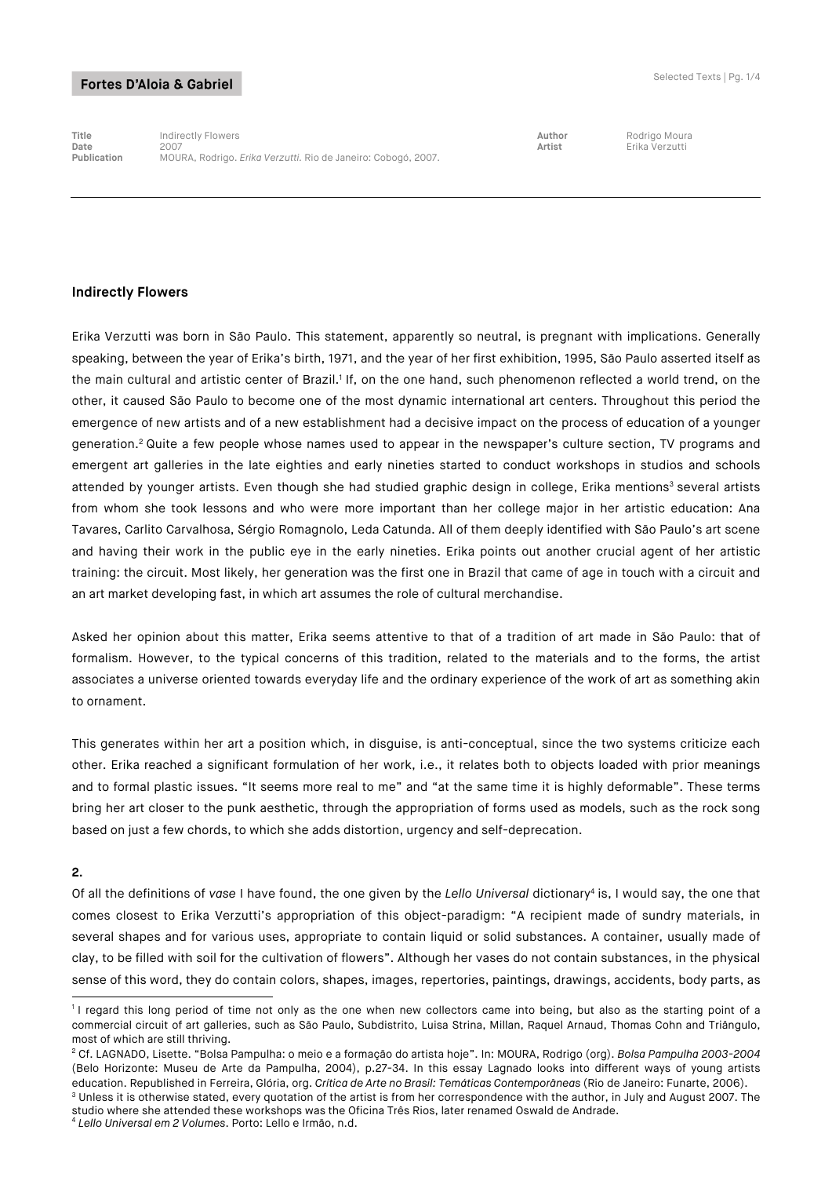**Title** Indirectly Flowers **Author** Rodrigo Moura **Date** 2007 **Artist** Erika Verzutti **Publication** MOURA, Rodrigo. *Erika Verzutti.* Rio de Janeiro: Cobogó, 2007.

#### **Indirectly Flowers**

Erika Verzutti was born in São Paulo. This statement, apparently so neutral, is pregnant with implications. Generally speaking, between the year of Erika's birth, 1971, and the year of her first exhibition, 1995, São Paulo asserted itself as the main cultural and artistic center of Brazil.<sup>1</sup> If, on the one hand, such phenomenon reflected a world trend, on the other, it caused São Paulo to become one of the most dynamic international art centers. Throughout this period the emergence of new artists and of a new establishment had a decisive impact on the process of education of a younger generation.2 Quite a few people whose names used to appear in the newspaper's culture section, TV programs and emergent art galleries in the late eighties and early nineties started to conduct workshops in studios and schools attended by younger artists. Even though she had studied graphic design in college, Erika mentions<sup>3</sup> several artists from whom she took lessons and who were more important than her college major in her artistic education: Ana Tavares, Carlito Carvalhosa, Sérgio Romagnolo, Leda Catunda. All of them deeply identified with São Paulo's art scene and having their work in the public eye in the early nineties. Erika points out another crucial agent of her artistic training: the circuit. Most likely, her generation was the first one in Brazil that came of age in touch with a circuit and an art market developing fast, in which art assumes the role of cultural merchandise.

Asked her opinion about this matter, Erika seems attentive to that of a tradition of art made in São Paulo: that of formalism. However, to the typical concerns of this tradition, related to the materials and to the forms, the artist associates a universe oriented towards everyday life and the ordinary experience of the work of art as something akin to ornament.

This generates within her art a position which, in disguise, is anti-conceptual, since the two systems criticize each other. Erika reached a significant formulation of her work, i.e., it relates both to objects loaded with prior meanings and to formal plastic issues. "It seems more real to me" and "at the same time it is highly deformable". These terms bring her art closer to the punk aesthetic, through the appropriation of forms used as models, such as the rock song based on just a few chords, to which she adds distortion, urgency and self-deprecation.

### **2.**

Of all the definitions of vase I have found, the one given by the *Lello Universal* dictionary<sup>4</sup> is, I would say, the one that comes closest to Erika Verzutti's appropriation of this object-paradigm: "A recipient made of sundry materials, in several shapes and for various uses, appropriate to contain liquid or solid substances. A container, usually made of clay, to be filled with soil for the cultivation of flowers". Although her vases do not contain substances, in the physical sense of this word, they do contain colors, shapes, images, repertories, paintings, drawings, accidents, body parts, as

<sup>-</sup><sup>1</sup> I regard this long period of time not only as the one when new collectors came into being, but also as the starting point of a commercial circuit of art galleries, such as São Paulo, Subdistrito, Luisa Strina, Millan, Raquel Arnaud, Thomas Cohn and Triângulo, most of which are still thriving.

<sup>2</sup> Cf. LAGNADO, Lisette. "Bolsa Pampulha: o meio e a formação do artista hoje". In: MOURA, Rodrigo (org). *Bolsa Pampulha 2003-2004*  (Belo Horizonte: Museu de Arte da Pampulha, 2004), p.27-34. In this essay Lagnado looks into different ways of young artists education. Republished in Ferreira, Glória, org. Crítica de Arte no Brasil: Temáticas Contemporâneas (Rio de Janeiro: Funarte, 2006).<br><sup>3</sup> Unless it is otherwise stated, every quotation of the artist is from her corresponde

studio where she attended these workshops was the Oficina Três Rios, later renamed Oswald de Andrade. <sup>4</sup> *Lello Universal em 2 Volumes*. Porto: Lello e Irmão, n.d.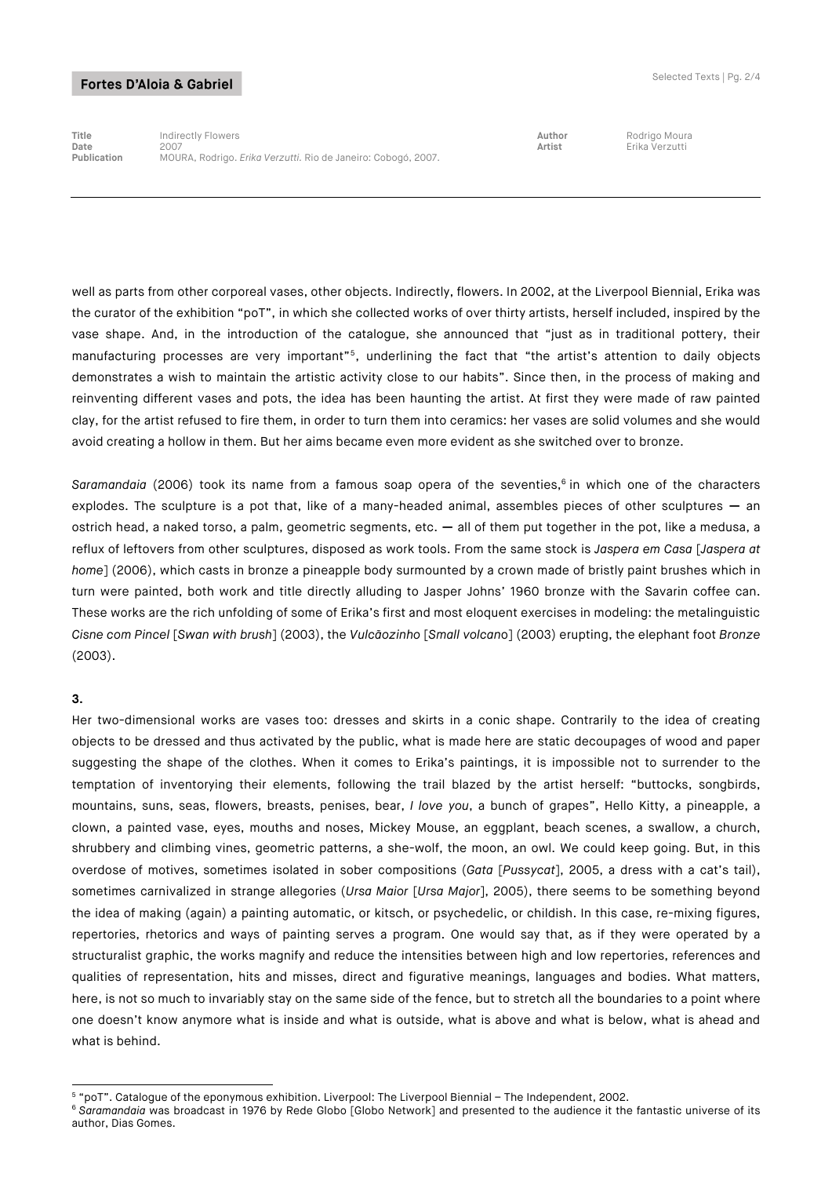**Title** Indirectly Flowers **Author** Rodrigo Moura **Date** 2007 **Artist** Erika Verzutti **Publication** MOURA, Rodrigo. *Erika Verzutti.* Rio de Janeiro: Cobogó, 2007.

well as parts from other corporeal vases, other objects. Indirectly, flowers. In 2002, at the Liverpool Biennial, Erika was the curator of the exhibition "poT", in which she collected works of over thirty artists, herself included, inspired by the vase shape. And, in the introduction of the catalogue, she announced that "just as in traditional pottery, their manufacturing processes are very important"5, underlining the fact that "the artist's attention to daily objects demonstrates a wish to maintain the artistic activity close to our habits". Since then, in the process of making and reinventing different vases and pots, the idea has been haunting the artist. At first they were made of raw painted clay, for the artist refused to fire them, in order to turn them into ceramics: her vases are solid volumes and she would avoid creating a hollow in them. But her aims became even more evident as she switched over to bronze.

Saramandaia (2006) took its name from a famous soap opera of the seventies,<sup>6</sup> in which one of the characters explodes. The sculpture is a pot that, like of a many-headed animal, assembles pieces of other sculptures **—** an ostrich head, a naked torso, a palm, geometric segments, etc. **—** all of them put together in the pot, like a medusa, a reflux of leftovers from other sculptures, disposed as work tools. From the same stock is *Jaspera em Casa* [*Jaspera at home*] (2006), which casts in bronze a pineapple body surmounted by a crown made of bristly paint brushes which in turn were painted, both work and title directly alluding to Jasper Johns' 1960 bronze with the Savarin coffee can. These works are the rich unfolding of some of Erika's first and most eloquent exercises in modeling: the metalinguistic *Cisne com Pincel* [*Swan with brush*] (2003), the *Vulcãozinho* [*Small volcan*o] (2003) erupting, the elephant foot *Bronze*  (2003).

#### **3.**

Her two-dimensional works are vases too: dresses and skirts in a conic shape. Contrarily to the idea of creating objects to be dressed and thus activated by the public, what is made here are static decoupages of wood and paper suggesting the shape of the clothes. When it comes to Erika's paintings, it is impossible not to surrender to the temptation of inventorying their elements, following the trail blazed by the artist herself: "buttocks, songbirds, mountains, suns, seas, flowers, breasts, penises, bear, *I love you*, a bunch of grapes", Hello Kitty, a pineapple, a clown, a painted vase, eyes, mouths and noses, Mickey Mouse, an eggplant, beach scenes, a swallow, a church, shrubbery and climbing vines, geometric patterns, a she-wolf, the moon, an owl. We could keep going. But, in this overdose of motives, sometimes isolated in sober compositions (*Gata* [*Pussycat*], 2005, a dress with a cat's tail), sometimes carnivalized in strange allegories (*Ursa Maior* [*Ursa Major*], 2005), there seems to be something beyond the idea of making (again) a painting automatic, or kitsch, or psychedelic, or childish. In this case, re-mixing figures, repertories, rhetorics and ways of painting serves a program. One would say that, as if they were operated by a structuralist graphic, the works magnify and reduce the intensities between high and low repertories, references and qualities of representation, hits and misses, direct and figurative meanings, languages and bodies. What matters, here, is not so much to invariably stay on the same side of the fence, but to stretch all the boundaries to a point where one doesn't know anymore what is inside and what is outside, what is above and what is below, what is ahead and what is behind.

<sup>-</sup><sup>5</sup> "poT". Catalogue of the eponymous exhibition. Liverpool: The Liverpool Biennial – The Independent, 2002.

<sup>&</sup>lt;sup>6</sup> Saramandaia was broadcast in 1976 by Rede Globo [Globo Network] and presented to the audience it the fantastic universe of its author, Dias Gomes.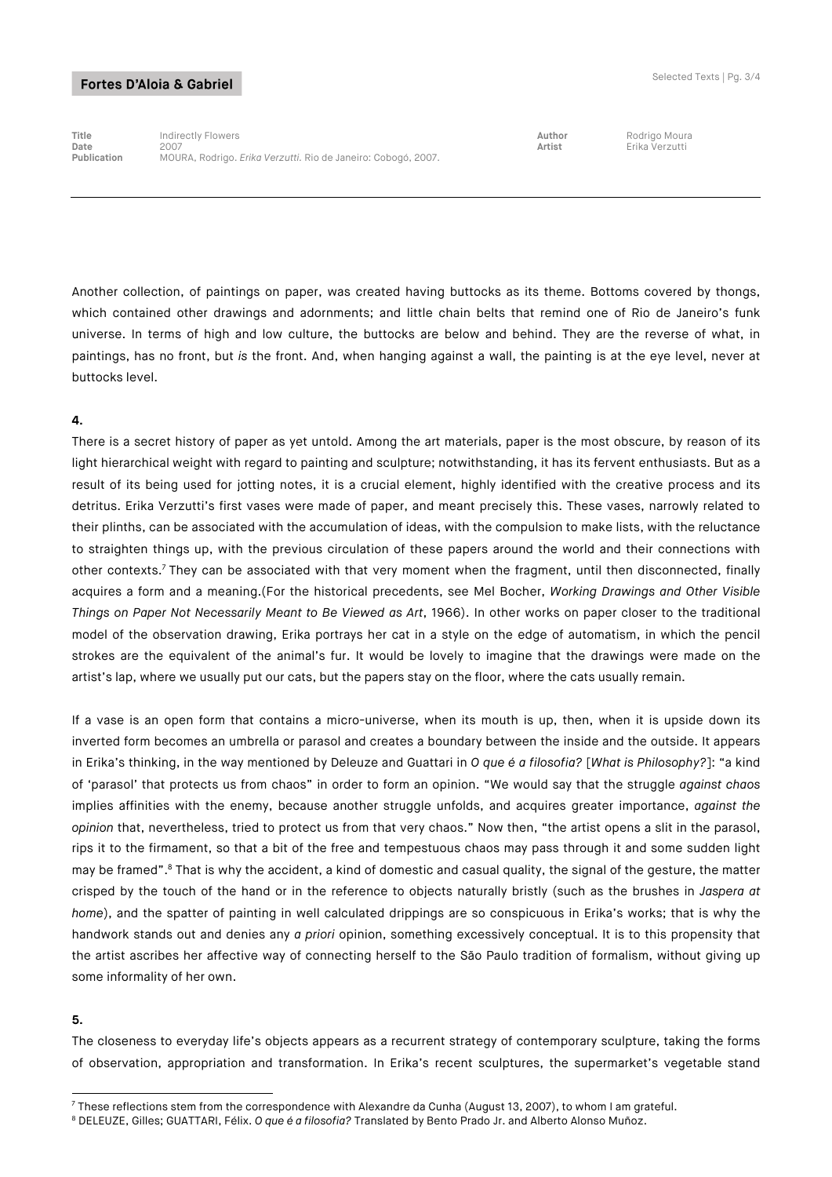**Title** Indirectly Flowers **Author** Rodrigo Moura **Date** 2007 **Artist** Erika Verzutti **Publication** MOURA, Rodrigo. *Erika Verzutti.* Rio de Janeiro: Cobogó, 2007.

Another collection, of paintings on paper, was created having buttocks as its theme. Bottoms covered by thongs, which contained other drawings and adornments; and little chain belts that remind one of Rio de Janeiro's funk universe. In terms of high and low culture, the buttocks are below and behind. They are the reverse of what, in paintings, has no front, but *is* the front. And, when hanging against a wall, the painting is at the eye level, never at buttocks level.

## **4.**

There is a secret history of paper as yet untold. Among the art materials, paper is the most obscure, by reason of its light hierarchical weight with regard to painting and sculpture; notwithstanding, it has its fervent enthusiasts. But as a result of its being used for jotting notes, it is a crucial element, highly identified with the creative process and its detritus. Erika Verzutti's first vases were made of paper, and meant precisely this. These vases, narrowly related to their plinths, can be associated with the accumulation of ideas, with the compulsion to make lists, with the reluctance to straighten things up, with the previous circulation of these papers around the world and their connections with other contexts.7 They can be associated with that very moment when the fragment, until then disconnected, finally acquires a form and a meaning.(For the historical precedents, see Mel Bocher, *Working Drawings and Other Visible Things on Paper Not Necessarily Meant to Be Viewed as Art*, 1966). In other works on paper closer to the traditional model of the observation drawing, Erika portrays her cat in a style on the edge of automatism, in which the pencil strokes are the equivalent of the animal's fur. It would be lovely to imagine that the drawings were made on the artist's lap, where we usually put our cats, but the papers stay on the floor, where the cats usually remain.

If a vase is an open form that contains a micro-universe, when its mouth is up, then, when it is upside down its inverted form becomes an umbrella or parasol and creates a boundary between the inside and the outside. It appears in Erika's thinking, in the way mentioned by Deleuze and Guattari in *O que é a filosofia?* [*What is Philosophy?*]: "a kind of 'parasol' that protects us from chaos" in order to form an opinion. "We would say that the struggle *against chaos*  implies affinities with the enemy, because another struggle unfolds, and acquires greater importance, *against the opinion* that, nevertheless, tried to protect us from that very chaos." Now then, "the artist opens a slit in the parasol, rips it to the firmament, so that a bit of the free and tempestuous chaos may pass through it and some sudden light may be framed".8 That is why the accident, a kind of domestic and casual quality, the signal of the gesture, the matter crisped by the touch of the hand or in the reference to objects naturally bristly (such as the brushes in *Jaspera at home*), and the spatter of painting in well calculated drippings are so conspicuous in Erika's works; that is why the handwork stands out and denies any *a priori* opinion, something excessively conceptual. It is to this propensity that the artist ascribes her affective way of connecting herself to the São Paulo tradition of formalism, without giving up some informality of her own.

#### **5.**

-

The closeness to everyday life's objects appears as a recurrent strategy of contemporary sculpture, taking the forms of observation, appropriation and transformation. In Erika's recent sculptures, the supermarket's vegetable stand

 $^7$  These reflections stem from the correspondence with Alexandre da Cunha (August 13, 2007), to whom I am grateful.

<sup>8</sup> DELEUZE, Gilles; GUATTARI, Félix. *O que é a filosofia?* Translated by Bento Prado Jr. and Alberto Alonso Muñoz.